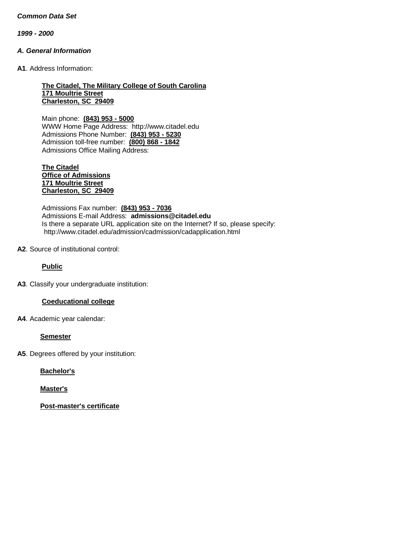*1999 - 2000*

### *A. General Information*

**A1**. Address Information:

#### **The Citadel, The Military College of South Carolina 171 Moultrie Street Charleston, SC 29409**

Main phone: **(843) 953 - 5000** WWW Home Page Address: [http://www.citadel.edu](http://www.citadel.edu/) Admissions Phone Number: **(843) 953 - 5230** Admission toll-free number: **(800) 868 - 1842** Admissions Office Mailing Address:

#### **The Citadel Office of Admissions 171 Moultrie Street Charleston, SC 29409**

Admissions Fax number: **(843) 953 - 7036** Admissions E-mail Address: **[admissions@citadel.edu](mailto:admissions@citadel.edu)** Is there a separate URL application site on the Internet? If so, please specify: <http://www.citadel.edu/admission/cadmission/cadapplication.html>

### **A2**. Source of institutional control:

**Public**

**A3**. Classify your undergraduate institution:

### **Coeducational college**

**A4**. Academic year calendar:

#### **Semester**

**A5**. Degrees offered by your institution:

**Bachelor's**

**Master's**

**Post-master's certificate**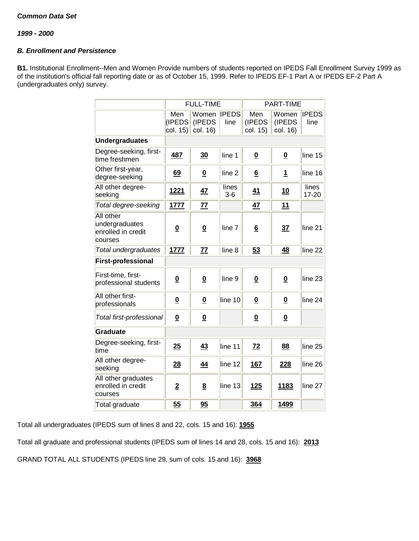*1999 - 2000*

# *B. Enrollment and Persistence*

**B1.** Institutional Enrollment--Men and Women Provide numbers of students reported on IPEDS Fall Enrollment Survey 1999 as of the institution's official fall reporting date or as of October 15, 1999. Refer to IPEDS EF-1 Part A or IPEDS EF-2 Part A (undergraduates only) survey.

|                                                              |                                           | <b>FULL-TIME</b>            |                      | PART-TIME                 |                             |                      |
|--------------------------------------------------------------|-------------------------------------------|-----------------------------|----------------------|---------------------------|-----------------------------|----------------------|
|                                                              | Men<br>(IPEDS<br>$\vert$ col. 15) $\vert$ | Women<br>(IPEDS<br>col. 16) | <b>IPEDS</b><br>line | Men<br>(IPEDS<br>col. 15) | Women<br>(IPEDS<br>col. 16) | <b>IPEDS</b><br>line |
| <b>Undergraduates</b>                                        |                                           |                             |                      |                           |                             |                      |
| Degree-seeking, first-<br>time freshmen                      | 487                                       | 30                          | line 1               | $\overline{\mathbf{0}}$   | $\overline{\mathbf{0}}$     | line 15              |
| Other first-year,<br>degree-seeking                          | 69                                        | $\overline{\mathbf{0}}$     | line <sub>2</sub>    | $6\phantom{1}$            | 1                           | line 16              |
| All other degree-<br>seeking                                 | <u>1221</u>                               | <u>47</u>                   | lines<br>$3-6$       | 41                        | 10                          | lines<br>17-20       |
| Total degree-seeking                                         | 1777                                      | 77                          |                      | 47                        | 11                          |                      |
| All other<br>undergraduates<br>enrolled in credit<br>courses | $\overline{\mathbf{0}}$                   | $\overline{\mathbf{0}}$     | line 7               | 6                         | 37                          | line <sub>21</sub>   |
| Total undergraduates                                         | 1777                                      | 77                          | line <sub>8</sub>    | 53                        | 48                          | line <sub>22</sub>   |
| <b>First-professional</b>                                    |                                           |                             |                      |                           |                             |                      |
| First-time, first-<br>professional students                  | $\overline{\mathbf{0}}$                   | $\overline{\mathbf{0}}$     | line <sub>9</sub>    | $\overline{\mathbf{0}}$   | $\overline{\mathbf{0}}$     | line 23              |
| All other first-<br>professionals                            | $\underline{\mathbf{0}}$                  | $\underline{\mathbf{0}}$    | line 10              | $\underline{\mathbf{0}}$  | $\underline{\mathbf{0}}$    | line <sub>24</sub>   |
| Total first-professional                                     | $\overline{\mathbf{0}}$                   | $\underline{\mathbf{0}}$    |                      | $\overline{\mathbf{0}}$   | $\underline{\mathbf{0}}$    |                      |
| Graduate                                                     |                                           |                             |                      |                           |                             |                      |
| Degree-seeking, first-<br>time                               | 25                                        | 43                          | line 11              | 72                        | 88                          | line <sub>25</sub>   |
| All other degree-<br>seeking                                 | 28                                        | 44                          | line 12              | <u>167</u>                | 228                         | line 26              |
| All other graduates<br>enrolled in credit<br>courses         | $\overline{2}$                            | $\underline{8}$             | line 13              | <b>125</b>                | <u>1183</u>                 | line 27              |
| Total graduate                                               | 55                                        | 95                          |                      | 364                       | <u>1499</u>                 |                      |

Total all undergraduates (IPEDS sum of lines 8 and 22, cols. 15 and 16): **1955**

Total all graduate and professional students (IPEDS sum of lines 14 and 28, cols. 15 and 16): **2013**

GRAND TOTAL ALL STUDENTS (IPEDS line 29, sum of cols. 15 and 16): **3968**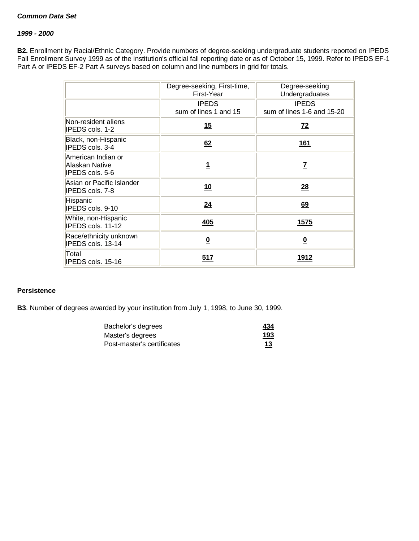### *1999 - 2000*

**B2.** Enrollment by Racial/Ethnic Category. Provide numbers of degree-seeking undergraduate students reported on IPEDS Fall Enrollment Survey 1999 as of the institution's official fall reporting date or as of October 15, 1999. Refer to IPEDS EF-1 Part A or IPEDS EF-2 Part A surveys based on column and line numbers in grid for totals.

|                                                         | Degree-seeking, First-time,<br>First-Year | Degree-seeking<br>Undergraduates           |
|---------------------------------------------------------|-------------------------------------------|--------------------------------------------|
|                                                         | <b>IPEDS</b><br>sum of lines 1 and 15     | <b>IPEDS</b><br>sum of lines 1-6 and 15-20 |
| Non-resident aliens<br>IPEDS cols. 1-2                  | <u>15</u>                                 | $\mathbf{Z}^2$                             |
| Black, non-Hispanic<br>IPEDS cols. 3-4                  | 62                                        | 161                                        |
| American Indian or<br>Alaskan Native<br>IPEDS cols. 5-6 | 1                                         | <u>7</u>                                   |
| Asian or Pacific Islander<br>IPEDS cols. 7-8            | <u>10</u>                                 | 28                                         |
| Hispanic<br>IPEDS cols. 9-10                            | 24                                        | 69                                         |
| White, non-Hispanic<br>IPEDS cols. 11-12                | <u>405</u>                                | <u>1575</u>                                |
| Race/ethnicity unknown<br>IPEDS cols. 13-14             | $\overline{\mathbf{0}}$                   | $\overline{\mathbf{0}}$                    |
| Total<br>IPEDS cols. 15-16                              | 517                                       | <u> 1912 </u>                              |

#### **Persistence**

**B3**. Number of degrees awarded by your institution from July 1, 1998, to June 30, 1999.

| Bachelor's degrees         | 434                  |
|----------------------------|----------------------|
| Master's degrees           | 193                  |
| Post-master's certificates | 13<br><u>records</u> |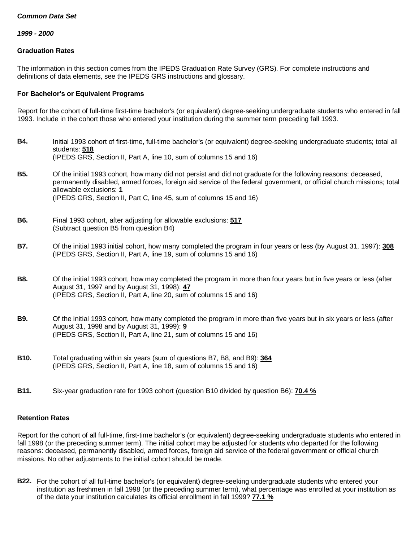*1999 - 2000*

### **Graduation Rates**

The information in this section comes from the IPEDS Graduation Rate Survey (GRS). For complete instructions and definitions of data elements, see the IPEDS GRS instructions and glossary.

### **For Bachelor's or Equivalent Programs**

Report for the cohort of full-time first-time bachelor's (or equivalent) degree-seeking undergraduate students who entered in fall 1993. Include in the cohort those who entered your institution during the summer term preceding fall 1993.

- **B4.** Initial 1993 cohort of first-time, full-time bachelor's (or equivalent) degree-seeking undergraduate students; total all students: **518** (IPEDS GRS, Section II, Part A, line 10, sum of columns 15 and 16) **B5.** Of the initial 1993 cohort, how many did not persist and did not graduate for the following reasons: deceased, permanently disabled, armed forces, foreign aid service of the federal government, or official church missions; total allowable exclusions: **1** (IPEDS GRS, Section II, Part C, line 45, sum of columns 15 and 16) **B6.** Final 1993 cohort, after adjusting for allowable exclusions: **517** (Subtract question B5 from question B4) **B7.** Of the initial 1993 initial cohort, how many completed the program in four years or less (by August 31, 1997): **308** (IPEDS GRS, Section II, Part A, line 19, sum of columns 15 and 16) **B8.** Of the initial 1993 cohort, how may completed the program in more than four years but in five years or less (after August 31, 1997 and by August 31, 1998): **47** (IPEDS GRS, Section II, Part A, line 20, sum of columns 15 and 16) **B9.** Of the initial 1993 cohort, how many completed the program in more than five years but in six years or less (after August 31, 1998 and by August 31, 1999): **9** (IPEDS GRS, Section II, Part A, line 21, sum of columns 15 and 16) **B10.** Total graduating within six years (sum of questions B7, B8, and B9): **364** (IPEDS GRS, Section II, Part A, line 18, sum of columns 15 and 16)
- **B11.** Six-year graduation rate for 1993 cohort (question B10 divided by question B6): **70.4 %**

### **Retention Rates**

Report for the cohort of all full-time, first-time bachelor's (or equivalent) degree-seeking undergraduate students who entered in fall 1998 (or the preceding summer term). The initial cohort may be adjusted for students who departed for the following reasons: deceased, permanently disabled, armed forces, foreign aid service of the federal government or official church missions. No other adjustments to the initial cohort should be made.

**B22.** For the cohort of all full-time bachelor's (or equivalent) degree-seeking undergraduate students who entered your institution as freshmen in fall 1998 (or the preceding summer term), what percentage was enrolled at your institution as of the date your institution calculates its official enrollment in fall 1999? **77.1 %**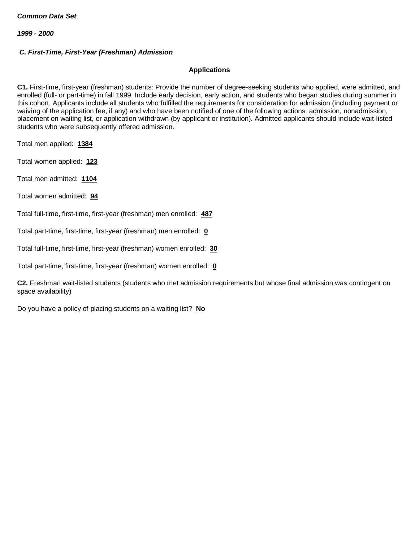*1999 - 2000*

# *C. First-Time, First-Year (Freshman) Admission*

### **Applications**

**C1.** First-time, first-year (freshman) students: Provide the number of degree-seeking students who applied, were admitted, and enrolled (full- or part-time) in fall 1999. Include early decision, early action, and students who began studies during summer in this cohort. Applicants include all students who fulfilled the requirements for consideration for admission (including payment or waiving of the application fee, if any) and who have been notified of one of the following actions: admission, nonadmission, placement on waiting list, or application withdrawn (by applicant or institution). Admitted applicants should include wait-listed students who were subsequently offered admission.

Total men applied: **1384**

Total women applied: **123**

Total men admitted: **1104**

Total women admitted: **94**

Total full-time, first-time, first-year (freshman) men enrolled: **487**

Total part-time, first-time, first-year (freshman) men enrolled: **0**

Total full-time, first-time, first-year (freshman) women enrolled: **30**

Total part-time, first-time, first-year (freshman) women enrolled: **0**

**C2.** Freshman wait-listed students (students who met admission requirements but whose final admission was contingent on space availability)

Do you have a policy of placing students on a waiting list? **No**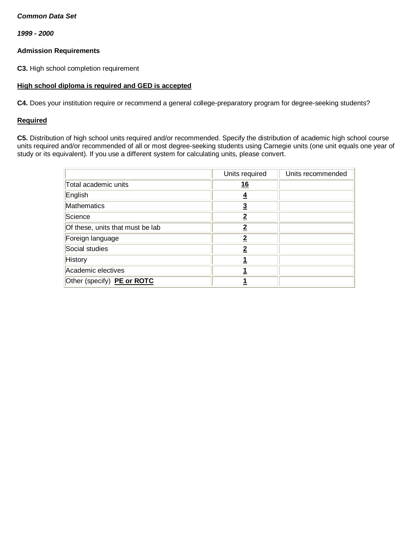*1999 - 2000*

### **Admission Requirements**

**C3.** High school completion requirement

### **High school diploma is required and GED is accepted**

**C4.** Does your institution require or recommend a general college-preparatory program for degree-seeking students?

### **Required**

**C5.** Distribution of high school units required and/or recommended. Specify the distribution of academic high school course units required and/or recommended of all or most degree-seeking students using Carnegie units (one unit equals one year of study or its equivalent). If you use a different system for calculating units, please convert.

|                                  | Units required | Units recommended |
|----------------------------------|----------------|-------------------|
| Total academic units             | <u>16</u>      |                   |
| English                          | 4              |                   |
| <b>Mathematics</b>               | $\overline{3}$ |                   |
| Science                          | $\overline{2}$ |                   |
| Of these, units that must be lab | $\overline{2}$ |                   |
| Foreign language                 | $\overline{2}$ |                   |
| Social studies                   | $\overline{2}$ |                   |
| History                          |                |                   |
| Academic electives               |                |                   |
| Other (specify) PE or ROTC       |                |                   |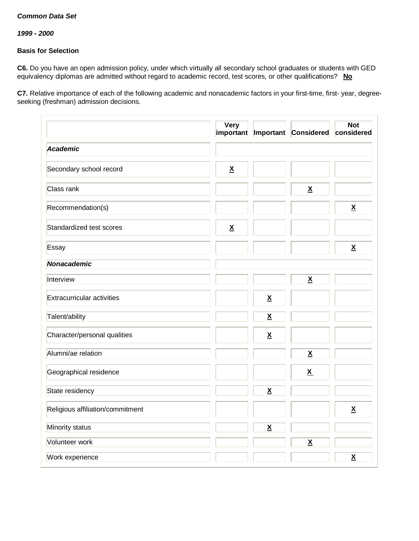*1999 - 2000*

# **Basis for Selection**

**C6.** Do you have an open admission policy, under which virtually all secondary school graduates or students with GED equivalency diplomas are admitted without regard to academic record, test scores, or other qualifications? **No**

**C7.** Relative importance of each of the following academic and nonacademic factors in your first-time, first- year, degreeseeking (freshman) admission decisions.

|                                  | <b>Very</b><br>important | Important                | Considered               | <b>Not</b><br>considered |
|----------------------------------|--------------------------|--------------------------|--------------------------|--------------------------|
| <b>Academic</b>                  |                          |                          |                          |                          |
| Secondary school record          | $\underline{\mathsf{X}}$ |                          |                          |                          |
| Class rank                       |                          |                          | $\underline{\mathsf{X}}$ |                          |
| Recommendation(s)                |                          |                          |                          | $\underline{\mathsf{X}}$ |
| Standardized test scores         | $\underline{\mathsf{X}}$ |                          |                          |                          |
| Essay                            |                          |                          |                          | $\underline{\mathsf{X}}$ |
| Nonacademic                      |                          |                          |                          |                          |
| Interview                        |                          |                          | $\underline{\mathsf{X}}$ |                          |
| Extracurricular activities       |                          | $\underline{\mathsf{X}}$ |                          |                          |
| Talent/ability                   |                          | $\underline{\mathsf{X}}$ |                          |                          |
| Character/personal qualities     |                          | $\underline{\mathbf{X}}$ |                          |                          |
| Alumni/ae relation               |                          |                          | $\underline{\mathsf{X}}$ |                          |
| Geographical residence           |                          |                          | $\underline{\mathbf{X}}$ |                          |
| State residency                  |                          | $\underline{\mathsf{X}}$ |                          |                          |
| Religious affiliation/commitment |                          |                          |                          | $\underline{\mathsf{X}}$ |
| Minority status                  |                          | $\underline{\mathsf{X}}$ |                          |                          |
| Volunteer work                   |                          |                          | $\underline{\mathsf{X}}$ |                          |
| Work experience                  |                          |                          |                          | $\underline{\mathsf{X}}$ |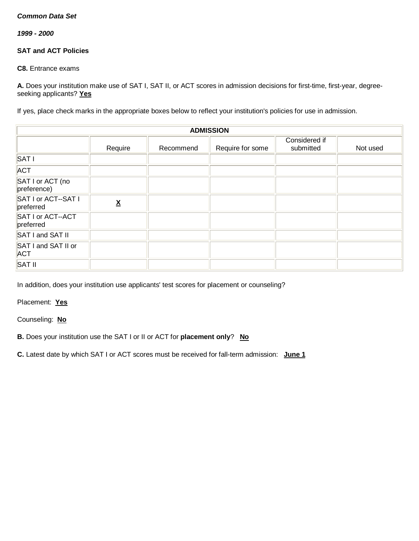*1999 - 2000*

# **SAT and ACT Policies**

**C8.** Entrance exams

**A.** Does your institution make use of SAT I, SAT II, or ACT scores in admission decisions for first-time, first-year, degreeseeking applicants? **Yes**

If yes, place check marks in the appropriate boxes below to reflect your institution's policies for use in admission.

| <b>ADMISSION</b>                  |         |           |                  |                            |          |
|-----------------------------------|---------|-----------|------------------|----------------------------|----------|
|                                   | Require | Recommend | Require for some | Considered if<br>submitted | Not used |
| <b>SAT I</b>                      |         |           |                  |                            |          |
| <b>ACT</b>                        |         |           |                  |                            |          |
| SAT I or ACT (no<br>preference)   |         |           |                  |                            |          |
| SAT I or ACT--SAT I<br>preferred  | χ       |           |                  |                            |          |
| SAT I or ACT--ACT<br>preferred    |         |           |                  |                            |          |
| SAT I and SAT II                  |         |           |                  |                            |          |
| SAT I and SAT II or<br><b>ACT</b> |         |           |                  |                            |          |
| <b>SAT II</b>                     |         |           |                  |                            |          |

In addition, does your institution use applicants' test scores for placement or counseling?

Placement: **Yes**

Counseling: **No**

**B.** Does your institution use the SAT I or II or ACT for **placement only**? **No**

**C.** Latest date by which SAT I or ACT scores must be received for fall-term admission: **June 1**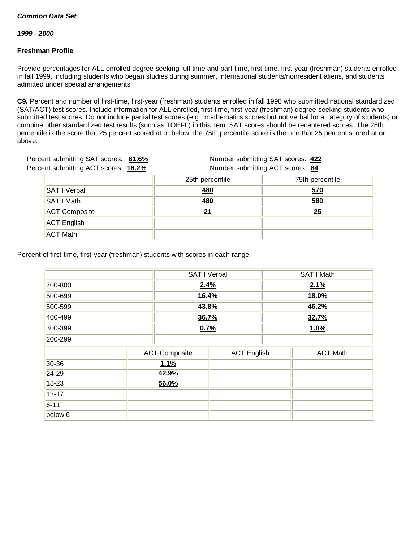*1999 - 2000*

### **Freshman Profile**

Provide percentages for ALL enrolled degree-seeking full-time and part-time, first-time, first-year (freshman) students enrolled in fall 1999, including students who began studies during summer, international students/nonresident aliens, and students admitted under special arrangements.

**C9.** Percent and number of first-time, first-year (freshman) students enrolled in fall 1998 who submitted national standardized (SAT/ACT) test scores. Include information for ALL enrolled, first-time, first-year (freshman) degree-seeking students who submitted test scores. Do not include partial test scores (e.g., mathematics scores but not verbal for a category of students) or combine other standardized test results (such as TOEFL) in this item. SAT scores should be recentered scores. The 25th percentile is the score that 25 percent scored at or below; the 75th percentile score is the one that 25 percent scored at or above.

| Percent submitting SAT scores: 81.6% | Number submitting SAT scores: 422 |                                  |  |
|--------------------------------------|-----------------------------------|----------------------------------|--|
| Percent submitting ACT scores: 16.2% |                                   | Number submitting ACT scores: 84 |  |
|                                      | 25th percentile                   | 75th percentile                  |  |
| <b>SAT I Verbal</b>                  | <u>480</u>                        | <u>570</u>                       |  |
| <b>SAT I Math</b>                    | 480                               | 580                              |  |
| <b>ACT Composite</b>                 | 21                                | 25                               |  |
| <b>ACT English</b>                   |                                   |                                  |  |
| <b>ACT Math</b>                      |                                   |                                  |  |

Percent of first-time, first-year (freshman) students with scores in each range:

|                 |  | SAT I Verbal         |                    |       | SAT I Math      |  |
|-----------------|--|----------------------|--------------------|-------|-----------------|--|
| 700-800<br>2.4% |  |                      |                    | 2.1%  |                 |  |
| 600-699         |  | 16.4%                |                    |       | <b>18.0%</b>    |  |
| 500-599         |  |                      | 43.8%              |       | 46.2%           |  |
| 400-499         |  | 36.7%                |                    | 32.7% |                 |  |
| 300-399         |  | 0.7%                 |                    |       | 1.0%            |  |
| 200-299         |  |                      |                    |       |                 |  |
|                 |  | <b>ACT Composite</b> | <b>ACT English</b> |       | <b>ACT Math</b> |  |
| 30-36           |  | 1.1%                 |                    |       |                 |  |
| $24-29$         |  | 42.9%                |                    |       |                 |  |
| $18-23$         |  | 56.0%                |                    |       |                 |  |
| $12 - 17$       |  |                      |                    |       |                 |  |
| $6 - 11$        |  |                      |                    |       |                 |  |
| below 6         |  |                      |                    |       |                 |  |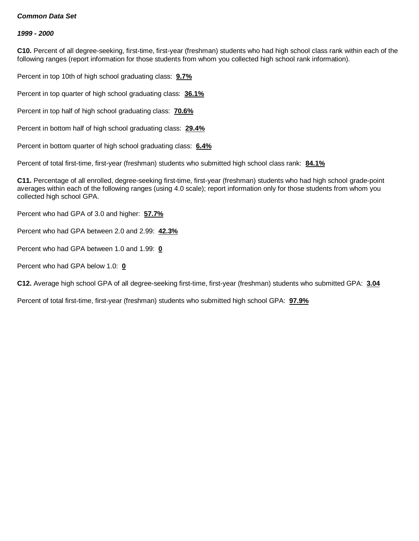#### *1999 - 2000*

**C10.** Percent of all degree-seeking, first-time, first-year (freshman) students who had high school class rank within each of the following ranges (report information for those students from whom you collected high school rank information).

Percent in top 10th of high school graduating class: **9.7%**

Percent in top quarter of high school graduating class: **36.1%**

Percent in top half of high school graduating class: **70.6%**

Percent in bottom half of high school graduating class: **29.4%**

Percent in bottom quarter of high school graduating class: **6.4%**

Percent of total first-time, first-year (freshman) students who submitted high school class rank: **84.1%**

**C11.** Percentage of all enrolled, degree-seeking first-time, first-year (freshman) students who had high school grade-point averages within each of the following ranges (using 4.0 scale); report information only for those students from whom you collected high school GPA.

Percent who had GPA of 3.0 and higher: **57.7%**

Percent who had GPA between 2.0 and 2.99: **42.3%**

Percent who had GPA between 1.0 and 1.99: **0**

Percent who had GPA below 1.0: **0**

**C12.** Average high school GPA of all degree-seeking first-time, first-year (freshman) students who submitted GPA: **3.04**

Percent of total first-time, first-year (freshman) students who submitted high school GPA: **97.9%**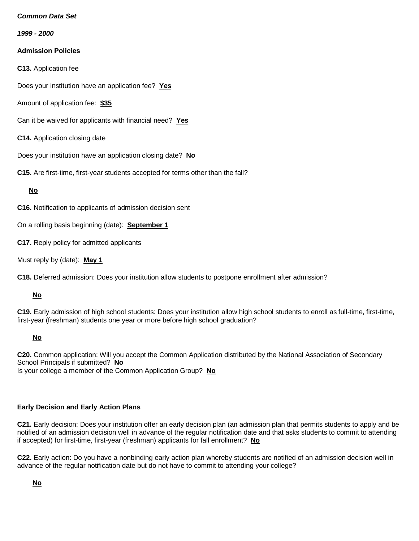*1999 - 2000*

# **Admission Policies**

**C13.** Application fee

Does your institution have an application fee? **Yes**

Amount of application fee: **\$35**

- Can it be waived for applicants with financial need? **Yes**
- **C14.** Application closing date

Does your institution have an application closing date? **No**

**C15.** Are first-time, first-year students accepted for terms other than the fall?

### **No**

**C16.** Notification to applicants of admission decision sent

On a rolling basis beginning (date): **September 1**

**C17.** Reply policy for admitted applicants

Must reply by (date): **May 1**

**C18.** Deferred admission: Does your institution allow students to postpone enrollment after admission?

### **No**

**C19.** Early admission of high school students: Does your institution allow high school students to enroll as full-time, first-time, first-year (freshman) students one year or more before high school graduation?

## **No**

**C20.** Common application: Will you accept the Common Application distributed by the National Association of Secondary School Principals if submitted? **No** Is your college a member of the Common Application Group? **No**

### **Early Decision and Early Action Plans**

**C21.** Early decision: Does your institution offer an early decision plan (an admission plan that permits students to apply and be notified of an admission decision well in advance of the regular notification date and that asks students to commit to attending if accepted) for first-time, first-year (freshman) applicants for fall enrollment? **No**

**C22.** Early action: Do you have a nonbinding early action plan whereby students are notified of an admission decision well in advance of the regular notification date but do not have to commit to attending your college?

**No**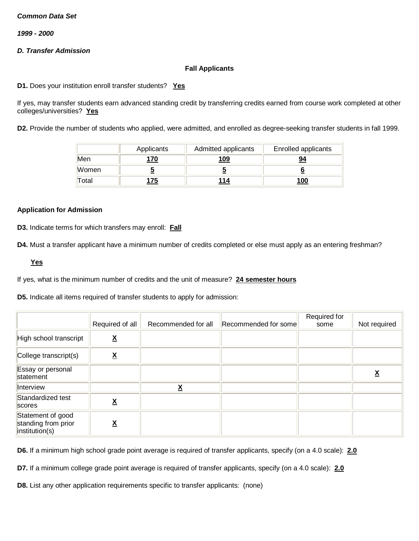*1999 - 2000*

# *D. Transfer Admission*

### **Fall Applicants**

**D1.** Does your institution enroll transfer students? **Yes**

If yes, may transfer students earn advanced standing credit by transferring credits earned from course work completed at other colleges/universities? **Yes**

**D2.** Provide the number of students who applied, were admitted, and enrolled as degree-seeking transfer students in fall 1999.

|       | Applicants  | Admitted applicants | <b>Enrolled applicants</b> |
|-------|-------------|---------------------|----------------------------|
| Men   | <u> 170</u> | <u> 109</u>         | 94                         |
| Women |             |                     |                            |
| Total | 75          | 114                 | 100                        |

#### **Application for Admission**

**D3.** Indicate terms for which transfers may enroll: **Fall**

**D4.** Must a transfer applicant have a minimum number of credits completed or else must apply as an entering freshman?

**Yes**

If yes, what is the minimum number of credits and the unit of measure? **24 semester hours**

**D5.** Indicate all items required of transfer students to apply for admission:

|                                                            | Required of all          | Recommended for all      | Recommended for some | Required for<br>some | Not required |
|------------------------------------------------------------|--------------------------|--------------------------|----------------------|----------------------|--------------|
| High school transcript                                     | $\underline{\mathsf{X}}$ |                          |                      |                      |              |
| College transcript(s)                                      | ▵                        |                          |                      |                      |              |
| Essay or personal<br>statement                             |                          |                          |                      |                      |              |
| Interview                                                  |                          | $\underline{\mathsf{X}}$ |                      |                      |              |
| Standardized test<br>scores                                | <u>x</u>                 |                          |                      |                      |              |
| Statement of good<br>standing from prior<br>institution(s) | $\underline{\mathsf{X}}$ |                          |                      |                      |              |

**D6.** If a minimum high school grade point average is required of transfer applicants, specify (on a 4.0 scale): **2.0**

**D7.** If a minimum college grade point average is required of transfer applicants, specify (on a 4.0 scale): **2.0**

**D8.** List any other application requirements specific to transfer applicants: (none)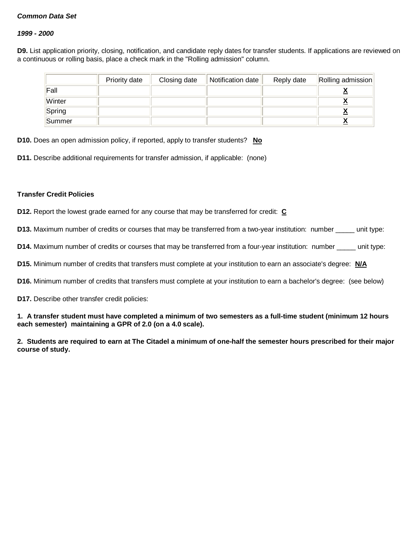#### *1999 - 2000*

**D9.** List application priority, closing, notification, and candidate reply dates for transfer students. If applications are reviewed on a continuous or rolling basis, place a check mark in the "Rolling admission" column.

|        | Priority date | Closing date | Notification date | Reply date | Rolling admission |
|--------|---------------|--------------|-------------------|------------|-------------------|
| Fall   |               |              |                   |            |                   |
| Winter |               |              |                   |            |                   |
| Spring |               |              |                   |            |                   |
| Summer |               |              |                   |            |                   |

**D10.** Does an open admission policy, if reported, apply to transfer students? **No**

**D11.** Describe additional requirements for transfer admission, if applicable: (none)

#### **Transfer Credit Policies**

**D12.** Report the lowest grade earned for any course that may be transferred for credit: **C**

**D13.** Maximum number of credits or courses that may be transferred from a two-year institution: number \_\_\_\_\_ unit type:

**D14.** Maximum number of credits or courses that may be transferred from a four-year institution: number unit type:

**D15.** Minimum number of credits that transfers must complete at your institution to earn an associate's degree: **N/A**

**D16.** Minimum number of credits that transfers must complete at your institution to earn a bachelor's degree: (see below)

**D17.** Describe other transfer credit policies:

**1. A transfer student must have completed a minimum of two semesters as a full-time student (minimum 12 hours each semester) maintaining a GPR of 2.0 (on a 4.0 scale).**

**2. Students are required to earn at The Citadel a minimum of one-half the semester hours prescribed for their major course of study.**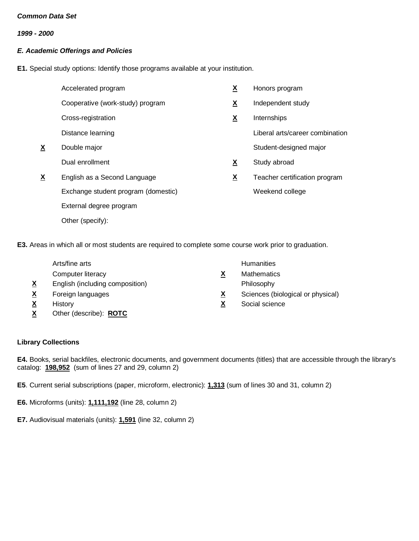*1999 - 2000*

# *E. Academic Offerings and Policies*

**E1.** Special study options: Identify those programs available at your institution.

|          | Accelerated program                 | <u>X</u>                 | Honors program                  |
|----------|-------------------------------------|--------------------------|---------------------------------|
|          | Cooperative (work-study) program    | X                        | Independent study               |
|          | Cross-registration                  | $\underline{\mathbf{X}}$ | Internships                     |
|          | Distance learning                   |                          | Liberal arts/career combination |
| <u>х</u> | Double major                        |                          | Student-designed major          |
|          | Dual enrollment                     | X                        | Study abroad                    |
| <u>X</u> | English as a Second Language        | $\underline{\mathbf{X}}$ | Teacher certification program   |
|          | Exchange student program (domestic) |                          | Weekend college                 |
|          | External degree program             |                          |                                 |
|          | Other (specify):                    |                          |                                 |

**E3.** Areas in which all or most students are required to complete some course work prior to graduation.

|          | Arts/fine arts                  |          | <b>Humanities</b>                 |
|----------|---------------------------------|----------|-----------------------------------|
|          | Computer literacy               | X        | <b>Mathematics</b>                |
| <u>X</u> | English (including composition) |          | Philosophy                        |
| <u>х</u> | Foreign languages               | <u>x</u> | Sciences (biological or physical) |
| <u>х</u> | History                         | X        | Social science                    |
| <u>X</u> | Other (describe): <b>ROTC</b>   |          |                                   |

# **Library Collections**

**E4.** Books, serial backfiles, electronic documents, and government documents (titles) that are accessible through the library's catalog: **198,952** (sum of lines 27 and 29, column 2)

**E5**. Current serial subscriptions (paper, microform, electronic): **1,313** (sum of lines 30 and 31, column 2)

**E6.** Microforms (units): **1,111,192** (line 28, column 2)

**E7.** Audiovisual materials (units): **1,591** (line 32, column 2)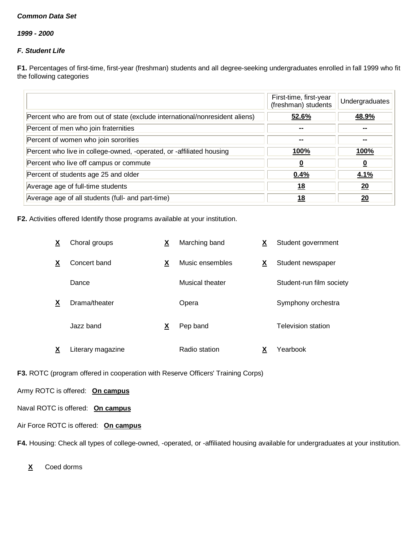*1999 - 2000*

# *F. Student Life*

**F1.** Percentages of first-time, first-year (freshman) students and all degree-seeking undergraduates enrolled in fall 1999 who fit the following categories

|                                                                              | First-time, first-year<br>(freshman) students | Undergraduates           |
|------------------------------------------------------------------------------|-----------------------------------------------|--------------------------|
| Percent who are from out of state (exclude international/nonresident aliens) | 52.6%                                         | 48.9%                    |
| Percent of men who join fraternities                                         |                                               |                          |
| Percent of women who join sororities                                         | $\overline{\phantom{a}}$                      | $\overline{\phantom{a}}$ |
| Percent who live in college-owned, -operated, or -affiliated housing         | <u>100%</u>                                   | 100%                     |
| Percent who live off campus or commute                                       | $\overline{\mathbf{0}}$                       | <u>0</u>                 |
| Percent of students age 25 and older                                         | 0.4%                                          | <u>4.1%</u>              |
| Average age of full-time students                                            | <u>18</u>                                     | 20                       |
| Average age of all students (full- and part-time)                            | 18                                            | 20                       |

**F2.** Activities offered Identify those programs available at your institution.

| X | Choral groups     | Х        | Marching band   | <u>x</u>                 | Student government       |
|---|-------------------|----------|-----------------|--------------------------|--------------------------|
| X | Concert band      | X        | Music ensembles | $\underline{\mathbf{X}}$ | Student newspaper        |
|   | Dance             |          | Musical theater |                          | Student-run film society |
| X | Drama/theater     |          | Opera           |                          | Symphony orchestra       |
|   | Jazz band         | <u>x</u> | Pep band        |                          | Television station       |
| х | Literary magazine |          | Radio station   | x                        | Yearbook                 |

**F3.** ROTC (program offered in cooperation with Reserve Officers' Training Corps)

Army ROTC is offered: **On campus**

Naval ROTC is offered: **On campus**

# Air Force ROTC is offered: **On campus**

**F4.** Housing: Check all types of college-owned, -operated, or -affiliated housing available for undergraduates at your institution.

**X** Coed dorms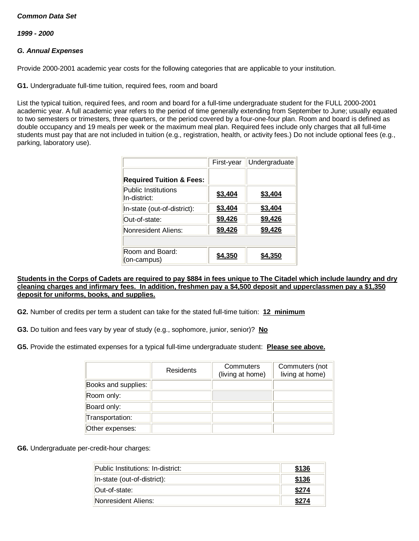*1999 - 2000*

### *G. Annual Expenses*

Provide 2000-2001 academic year costs for the following categories that are applicable to your institution.

**G1.** Undergraduate full-time tuition, required fees, room and board

List the typical tuition, required fees, and room and board for a full-time undergraduate student for the FULL 2000-2001 academic year. A full academic year refers to the period of time generally extending from September to June; usually equated to two semesters or trimesters, three quarters, or the period covered by a four-one-four plan. Room and board is defined as double occupancy and 19 meals per week or the maximum meal plan. Required fees include only charges that all full-time students must pay that are not included in tuition (e.g., registration, health, or activity fees.) Do not include optional fees (e.g., parking, laboratory use).

|                                            | First-year | Undergraduate |
|--------------------------------------------|------------|---------------|
| <b>Required Tuition &amp; Fees:</b>        |            |               |
| <b>Public Institutions</b><br>In-district: | \$3,404    | \$3,404       |
| In-state (out-of-district):                | \$3,404    | \$3,404       |
| Out-of-state:                              | \$9,426    | \$9,426       |
| Nonresident Aliens:                        | \$9,426    | \$9,426       |
|                                            |            |               |
| Room and Board:<br>(on-campus)             | \$4,350    | \$4,350       |

#### **Students in the Corps of Cadets are required to pay \$884 in fees unique to The Citadel which include laundry and dry cleaning charges and infirmary fees. In addition, freshmen pay a \$4,500 deposit and upperclassmen pay a \$1,350 deposit for uniforms, books, and supplies.**

**G2.** Number of credits per term a student can take for the stated full-time tuition: **12 minimum**

**G3.** Do tuition and fees vary by year of study (e.g., sophomore, junior, senior)? **No**

**G5.** Provide the estimated expenses for a typical full-time undergraduate student: **Please see above.**

|                     | Residents | Commuters<br>(living at home) | Commuters (not<br>living at home) |
|---------------------|-----------|-------------------------------|-----------------------------------|
| Books and supplies: |           |                               |                                   |
| Room only:          |           |                               |                                   |
| Board only:         |           |                               |                                   |
| Transportation:     |           |                               |                                   |
| Other expenses:     |           |                               |                                   |

**G6.** Undergraduate per-credit-hour charges:

| Public Institutions: In-district: | \$136 |
|-----------------------------------|-------|
| In-state (out-of-district):       | \$136 |
| Out-of-state:                     | \$274 |
| Nonresident Aliens:               | *274  |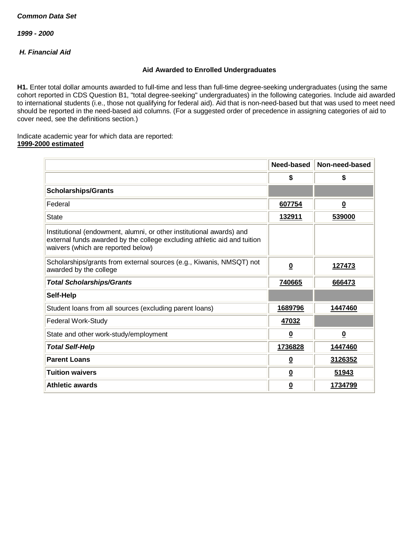*1999 - 2000*

# *H. Financial Aid*

### **Aid Awarded to Enrolled Undergraduates**

**H1.** Enter total dollar amounts awarded to full-time and less than full-time degree-seeking undergraduates (using the same cohort reported in CDS Question B1, "total degree-seeking" undergraduates) in the following categories. Include aid awarded to international students (i.e., those not qualifying for federal aid). Aid that is non-need-based but that was used to meet need should be reported in the need-based aid columns. (For a suggested order of precedence in assigning categories of aid to cover need, see the definitions section.)

Indicate academic year for which data are reported: **1999-2000 estimated**

|                                                                                                                                                                                        | Need-based              | Non-need-based           |
|----------------------------------------------------------------------------------------------------------------------------------------------------------------------------------------|-------------------------|--------------------------|
|                                                                                                                                                                                        | \$                      | \$                       |
| <b>Scholarships/Grants</b>                                                                                                                                                             |                         |                          |
| Federal                                                                                                                                                                                | 607754                  | $\overline{\mathbf{0}}$  |
| <b>State</b>                                                                                                                                                                           | <u>132911</u>           | 539000                   |
| Institutional (endowment, alumni, or other institutional awards) and<br>external funds awarded by the college excluding athletic aid and tuition<br>waivers (which are reported below) |                         |                          |
| Scholarships/grants from external sources (e.g., Kiwanis, NMSQT) not<br>awarded by the college                                                                                         | $\overline{\mathbf{0}}$ | 127473                   |
| <b>Total Scholarships/Grants</b>                                                                                                                                                       | 740665                  | 666473                   |
| Self-Help                                                                                                                                                                              |                         |                          |
| Student loans from all sources (excluding parent loans)                                                                                                                                | 1689796                 | 1447460                  |
| Federal Work-Study                                                                                                                                                                     | 47032                   |                          |
| State and other work-study/employment                                                                                                                                                  | $\overline{\mathbf{0}}$ | $\underline{\mathbf{0}}$ |
| <b>Total Self-Help</b>                                                                                                                                                                 | 1736828                 | 1447460                  |
| <b>Parent Loans</b>                                                                                                                                                                    | $\overline{\mathbf{0}}$ | 3126352                  |
| <b>Tuition waivers</b>                                                                                                                                                                 | $\overline{\mathbf{0}}$ | 51943                    |
| <b>Athletic awards</b>                                                                                                                                                                 | $\overline{\mathbf{0}}$ | 1734799                  |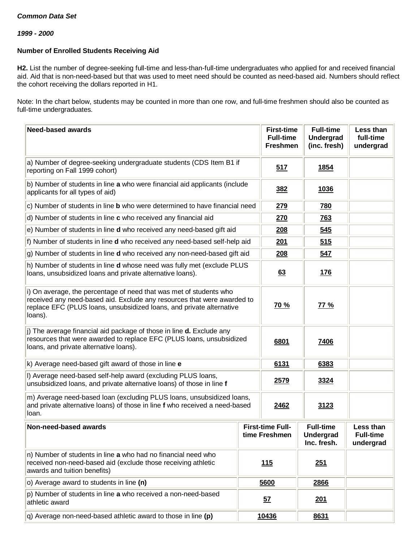#### *1999 - 2000*

### **Number of Enrolled Students Receiving Aid**

**H2.** List the number of degree-seeking full-time and less-than-full-time undergraduates who applied for and received financial aid. Aid that is non-need-based but that was used to meet need should be counted as need-based aid. Numbers should reflect the cohort receiving the dollars reported in H1.

Note: In the chart below, students may be counted in more than one row, and full-time freshmen should also be counted as full-time undergraduates.

| <b>Need-based awards</b>                                                                                                                                                                                                         | <b>First-time</b><br><b>Full-time</b><br><b>Freshmen</b> | <b>Full-time</b><br><b>Undergrad</b><br>(inc. fresh) | Less than<br>full-time<br>undergrad                 |                                            |
|----------------------------------------------------------------------------------------------------------------------------------------------------------------------------------------------------------------------------------|----------------------------------------------------------|------------------------------------------------------|-----------------------------------------------------|--------------------------------------------|
| a) Number of degree-seeking undergraduate students (CDS Item B1 if<br>reporting on Fall 1999 cohort)                                                                                                                             |                                                          | 517                                                  | <b>1854</b>                                         |                                            |
| b) Number of students in line a who were financial aid applicants (include<br>applicants for all types of aid)                                                                                                                   |                                                          | <u>382</u>                                           | <u>1036</u>                                         |                                            |
| c) Number of students in line b who were determined to have financial need                                                                                                                                                       |                                                          | 279                                                  | <b>780</b>                                          |                                            |
| d) Number of students in line c who received any financial aid                                                                                                                                                                   |                                                          | <b>270</b>                                           | <b>763</b>                                          |                                            |
| e) Number of students in line <b>d</b> who received any need-based gift aid                                                                                                                                                      |                                                          | 208                                                  | 545                                                 |                                            |
| f) Number of students in line d who received any need-based self-help aid                                                                                                                                                        |                                                          | <u>201</u>                                           | 515                                                 |                                            |
| g) Number of students in line d who received any non-need-based gift aid                                                                                                                                                         |                                                          | <b>208</b>                                           | <u>547</u>                                          |                                            |
| h) Number of students in line d whose need was fully met (exclude PLUS<br>loans, unsubsidized loans and private alternative loans).                                                                                              |                                                          | 63                                                   | <u>176</u>                                          |                                            |
| i) On average, the percentage of need that was met of students who<br>received any need-based aid. Exclude any resources that were awarded to<br>replace EFC (PLUS loans, unsubsidized loans, and private alternative<br>loans). |                                                          | 70 %                                                 | 77 %                                                |                                            |
| j) The average financial aid package of those in line <b>d.</b> Exclude any<br>resources that were awarded to replace EFC (PLUS loans, unsubsidized<br>loans, and private alternative loans).                                    |                                                          | 6801                                                 | 7406                                                |                                            |
| k) Average need-based gift award of those in line e                                                                                                                                                                              |                                                          | 6131                                                 | 6383                                                |                                            |
| I) Average need-based self-help award (excluding PLUS loans,<br>unsubsidized loans, and private alternative loans) of those in line f                                                                                            |                                                          | 2579<br>3324                                         |                                                     |                                            |
| m) Average need-based loan (excluding PLUS loans, unsubsidized loans,<br>and private alternative loans) of those in line f who received a need-based<br>loan.                                                                    |                                                          | 2462                                                 | 3123                                                |                                            |
| Non-need-based awards                                                                                                                                                                                                            |                                                          | <b>First-time Full-</b><br>time Freshmen             | <b>Full-time</b><br><b>Undergrad</b><br>Inc. fresh. | Less than<br><b>Full-time</b><br>undergrad |
| n) Number of students in line a who had no financial need who<br>received non-need-based aid (exclude those receiving athletic<br>awards and tuition benefits)                                                                   |                                                          | 115                                                  | 251                                                 |                                            |
| o) Average award to students in line (n)                                                                                                                                                                                         |                                                          | 5600                                                 | 2866                                                |                                            |
| p) Number of students in line a who received a non-need-based<br>athletic award                                                                                                                                                  |                                                          | <u>57</u>                                            | 201                                                 |                                            |
| q) Average non-need-based athletic award to those in line (p)                                                                                                                                                                    |                                                          | 10436                                                | 8631                                                |                                            |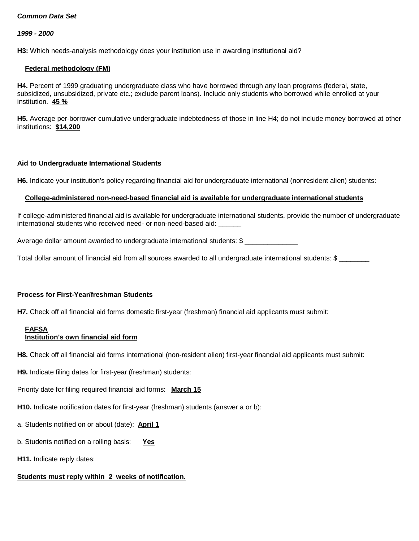#### *1999 - 2000*

H3: Which needs-analysis methodology does your institution use in awarding institutional aid?

#### **Federal methodology (FM)**

**H4.** Percent of 1999 graduating undergraduate class who have borrowed through any loan programs (federal, state, subsidized, unsubsidized, private etc.; exclude parent loans). Include only students who borrowed while enrolled at your institution. **45 %**

**H5.** Average per-borrower cumulative undergraduate indebtedness of those in line H4; do not include money borrowed at other institutions: **\$14,200**

### **Aid to Undergraduate International Students**

**H6.** Indicate your institution's policy regarding financial aid for undergraduate international (nonresident alien) students:

### **College-administered non-need-based financial aid is available for undergraduate international students**

If college-administered financial aid is available for undergraduate international students, provide the number of undergraduate international students who received need- or non-need-based aid: \_\_\_\_\_\_

Average dollar amount awarded to undergraduate international students: \$

Total dollar amount of financial aid from all sources awarded to all undergraduate international students: \$ \_\_\_\_\_\_\_\_

#### **Process for First-Year/freshman Students**

**H7.** Check off all financial aid forms domestic first-year (freshman) financial aid applicants must submit:

#### **FAFSA Institution's own financial aid form**

**H8.** Check off all financial aid forms international (non-resident alien) first-year financial aid applicants must submit:

**H9.** Indicate filing dates for first-year (freshman) students:

Priority date for filing required financial aid forms: **March 15**

**H10.** Indicate notification dates for first-year (freshman) students (answer a or b):

- a. Students notified on or about (date): **April 1**
- b. Students notified on a rolling basis: **Yes**
- **H11.** Indicate reply dates:

# **Students must reply within 2 weeks of notification.**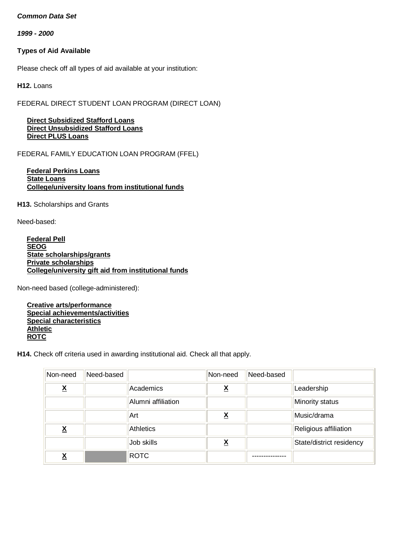*1999 - 2000*

# **Types of Aid Available**

Please check off all types of aid available at your institution:

**H12.** Loans

FEDERAL DIRECT STUDENT LOAN PROGRAM (DIRECT LOAN)

 **Direct Subsidized Stafford Loans Direct Unsubsidized Stafford Loans Direct PLUS Loans**

FEDERAL FAMILY EDUCATION LOAN PROGRAM (FFEL)

### **Federal Perkins Loans State Loans College/university loans from institutional funds**

**H13.** Scholarships and Grants

Need-based:

 **Federal Pell SEOG State scholarships/grants Private scholarships College/university gift aid from institutional funds**

Non-need based (college-administered):

 **Creative arts/performance Special achievements/activities Special characteristics Athletic ROTC**

**H14.** Check off criteria used in awarding institutional aid. Check all that apply.

| Non-need                 | Need-based |                    | Non-need                | Need-based |                          |
|--------------------------|------------|--------------------|-------------------------|------------|--------------------------|
| $\underline{\mathbf{X}}$ |            | Academics          | <u>x</u>                |            | Leadership               |
|                          |            | Alumni affiliation |                         |            | Minority status          |
|                          |            | Art                | <u>x</u>                |            | Music/drama              |
| $\underline{\mathsf{X}}$ |            | <b>Athletics</b>   |                         |            | Religious affiliation    |
|                          |            | Job skills         | $\overline{\mathbf{X}}$ |            | State/district residency |
| <u>አ</u>                 |            | <b>ROTC</b>        |                         |            |                          |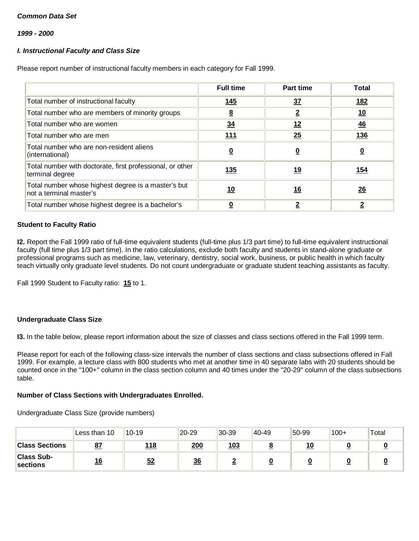*1999 - 2000*

# *I. Instructional Faculty and Class Size*

Please report number of instructional faculty members in each category for Fall 1999.

|                                                                                | <b>Full time</b>        | Part time | <b>Total</b>   |
|--------------------------------------------------------------------------------|-------------------------|-----------|----------------|
| Total number of instructional faculty                                          | 145                     | 37        | <u>182</u>     |
| Total number who are members of minority groups                                | $\underline{8}$         | <u>2</u>  | <u>10</u>      |
| Total number who are women                                                     | $\frac{34}{5}$          | 12        | $\frac{46}{1}$ |
| Total number who are men                                                       | <u>111</u>              | 25        | <u>136</u>     |
| Total number who are non-resident aliens<br>(international)                    | $\overline{\mathbf{0}}$ | <u>0</u>  | <u>0</u>       |
| Total number with doctorate, first professional, or other<br>terminal degree   | <u>135</u>              | <u>19</u> | <u>154</u>     |
| Total number whose highest degree is a master's but<br>not a terminal master's | <u> 10</u>              | <u>16</u> | 26             |
| Total number whose highest degree is a bachelor's                              |                         | 2         | 2              |

### **Student to Faculty Ratio**

**I2.** Report the Fall 1999 ratio of full-time equivalent students (full-time plus 1/3 part time) to full-time equivalent instructional faculty (full time plus 1/3 part time). In the ratio calculations, exclude both faculty and students in stand-alone graduate or professional programs such as medicine, law, veterinary, dentistry, social work, business, or public health in which faculty teach virtually only graduate level students. Do not count undergraduate or graduate student teaching assistants as faculty.

Fall 1999 Student to Faculty ratio: **15** to 1.

#### **Undergraduate Class Size**

**I3.** In the table below, please report information about the size of classes and class sections offered in the Fall 1999 term.

Please report for each of the following class-size intervals the number of class sections and class subsections offered in Fall 1999. For example, a lecture class with 800 students who met at another time in 40 separate labs with 20 students should be counted once in the "100+" column in the class section column and 40 times under the "20-29" column of the class subsections table.

#### **Number of Class Sections with Undergraduates Enrolled.**

Undergraduate Class Size (provide numbers)

|                               | Less than 10 | $10 - 19$   | 20-29 | $ 30-39 $   | 40-49 | 50-99     | $100+$ | Total |
|-------------------------------|--------------|-------------|-------|-------------|-------|-----------|--------|-------|
| <b>Class Sections</b>         | <u>87</u>    | <u> 118</u> | 200   | <u> 103</u> |       | <u>10</u> |        |       |
| <b>Class Sub-</b><br>sections | <u> 16</u>   | 52          | 36    |             |       |           |        |       |